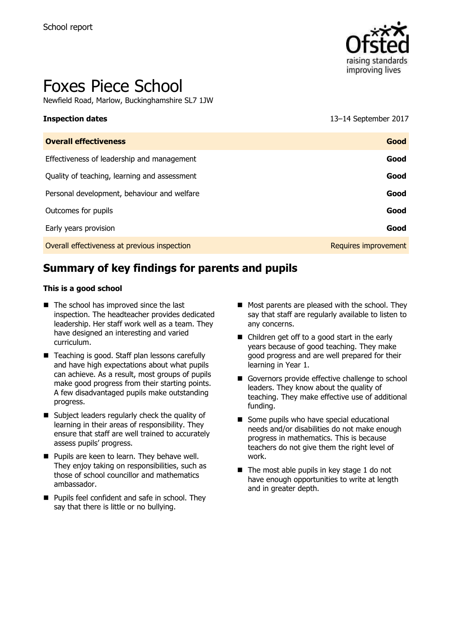

# Foxes Piece School

Newfield Road, Marlow, Buckinghamshire SL7 1JW

**Inspection dates** 13–14 September 2017

# **Summary of key findings for parents and pupils**

#### **This is a good school**

- The school has improved since the last inspection. The headteacher provides dedicated leadership. Her staff work well as a team. They have designed an interesting and varied curriculum.
- Teaching is good. Staff plan lessons carefully and have high expectations about what pupils can achieve. As a result, most groups of pupils make good progress from their starting points. A few disadvantaged pupils make outstanding progress.
- Subject leaders regularly check the quality of learning in their areas of responsibility. They ensure that staff are well trained to accurately assess pupils' progress.
- **Pupils are keen to learn. They behave well.** They enjoy taking on responsibilities, such as those of school councillor and mathematics ambassador.
- **Pupils feel confident and safe in school. They** say that there is little or no bullying.
- Most parents are pleased with the school. They say that staff are regularly available to listen to any concerns.
- Children get off to a good start in the early years because of good teaching. They make good progress and are well prepared for their learning in Year 1.
- Governors provide effective challenge to school leaders. They know about the quality of teaching. They make effective use of additional funding.
- Some pupils who have special educational needs and/or disabilities do not make enough progress in mathematics. This is because teachers do not give them the right level of work.
- $\blacksquare$  The most able pupils in key stage 1 do not have enough opportunities to write at length and in greater depth.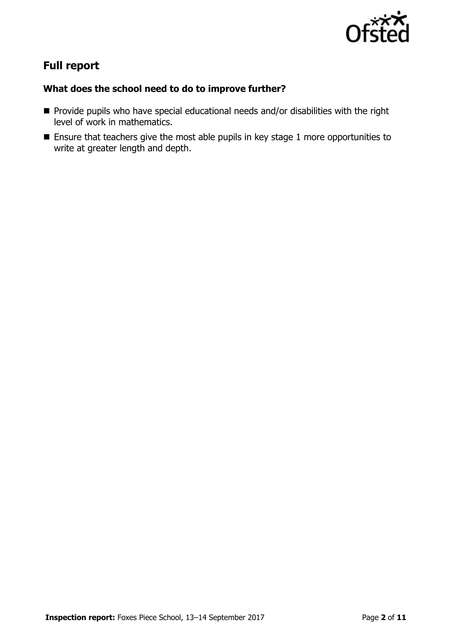

# **Full report**

### **What does the school need to do to improve further?**

- **Provide pupils who have special educational needs and/or disabilities with the right** level of work in mathematics.
- **Ensure that teachers give the most able pupils in key stage 1 more opportunities to** write at greater length and depth.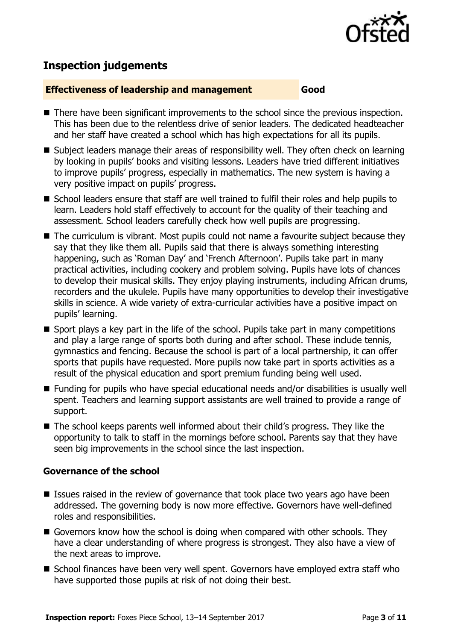

# **Inspection judgements**

#### **Effectiveness of leadership and management Good**

- There have been significant improvements to the school since the previous inspection. This has been due to the relentless drive of senior leaders. The dedicated headteacher and her staff have created a school which has high expectations for all its pupils.
- Subject leaders manage their areas of responsibility well. They often check on learning by looking in pupils' books and visiting lessons. Leaders have tried different initiatives to improve pupils' progress, especially in mathematics. The new system is having a very positive impact on pupils' progress.
- School leaders ensure that staff are well trained to fulfil their roles and help pupils to learn. Leaders hold staff effectively to account for the quality of their teaching and assessment. School leaders carefully check how well pupils are progressing.
- The curriculum is vibrant. Most pupils could not name a favourite subject because they say that they like them all. Pupils said that there is always something interesting happening, such as 'Roman Day' and 'French Afternoon'. Pupils take part in many practical activities, including cookery and problem solving. Pupils have lots of chances to develop their musical skills. They enjoy playing instruments, including African drums, recorders and the ukulele. Pupils have many opportunities to develop their investigative skills in science. A wide variety of extra-curricular activities have a positive impact on pupils' learning.
- $\blacksquare$  Sport plays a key part in the life of the school. Pupils take part in many competitions and play a large range of sports both during and after school. These include tennis, gymnastics and fencing. Because the school is part of a local partnership, it can offer sports that pupils have requested. More pupils now take part in sports activities as a result of the physical education and sport premium funding being well used.
- Funding for pupils who have special educational needs and/or disabilities is usually well spent. Teachers and learning support assistants are well trained to provide a range of support.
- The school keeps parents well informed about their child's progress. They like the opportunity to talk to staff in the mornings before school. Parents say that they have seen big improvements in the school since the last inspection.

#### **Governance of the school**

- $\blacksquare$  Issues raised in the review of governance that took place two years ago have been addressed. The governing body is now more effective. Governors have well-defined roles and responsibilities.
- Governors know how the school is doing when compared with other schools. They have a clear understanding of where progress is strongest. They also have a view of the next areas to improve.
- School finances have been very well spent. Governors have employed extra staff who have supported those pupils at risk of not doing their best.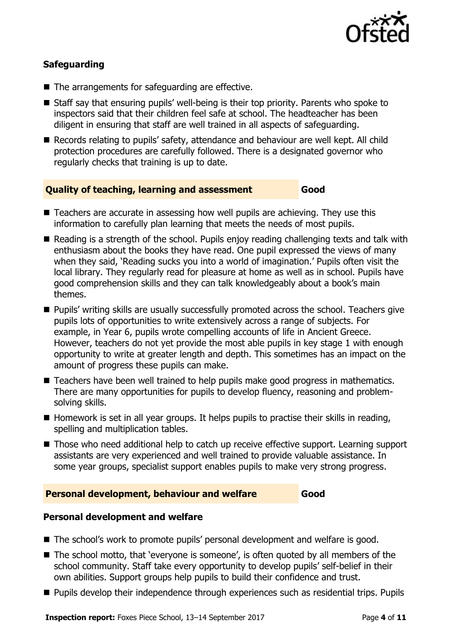

### **Safeguarding**

- The arrangements for safeguarding are effective.
- Staff say that ensuring pupils' well-being is their top priority. Parents who spoke to inspectors said that their children feel safe at school. The headteacher has been diligent in ensuring that staff are well trained in all aspects of safeguarding.
- Records relating to pupils' safety, attendance and behaviour are well kept. All child protection procedures are carefully followed. There is a designated governor who regularly checks that training is up to date.

#### **Quality of teaching, learning and assessment Good**

- Teachers are accurate in assessing how well pupils are achieving. They use this information to carefully plan learning that meets the needs of most pupils.
- Reading is a strength of the school. Pupils enjoy reading challenging texts and talk with enthusiasm about the books they have read. One pupil expressed the views of many when they said, 'Reading sucks you into a world of imagination.' Pupils often visit the local library. They regularly read for pleasure at home as well as in school. Pupils have good comprehension skills and they can talk knowledgeably about a book's main themes.
- **Pupils' writing skills are usually successfully promoted across the school. Teachers give** pupils lots of opportunities to write extensively across a range of subjects. For example, in Year 6, pupils wrote compelling accounts of life in Ancient Greece. However, teachers do not yet provide the most able pupils in key stage 1 with enough opportunity to write at greater length and depth. This sometimes has an impact on the amount of progress these pupils can make.
- Teachers have been well trained to help pupils make good progress in mathematics. There are many opportunities for pupils to develop fluency, reasoning and problemsolving skills.
- $\blacksquare$  Homework is set in all year groups. It helps pupils to practise their skills in reading, spelling and multiplication tables.
- Those who need additional help to catch up receive effective support. Learning support assistants are very experienced and well trained to provide valuable assistance. In some year groups, specialist support enables pupils to make very strong progress.

#### **Personal development, behaviour and welfare Good**

#### **Personal development and welfare**

- The school's work to promote pupils' personal development and welfare is good.
- The school motto, that 'everyone is someone', is often quoted by all members of the school community. Staff take every opportunity to develop pupils' self-belief in their own abilities. Support groups help pupils to build their confidence and trust.
- **Pupils develop their independence through experiences such as residential trips. Pupils**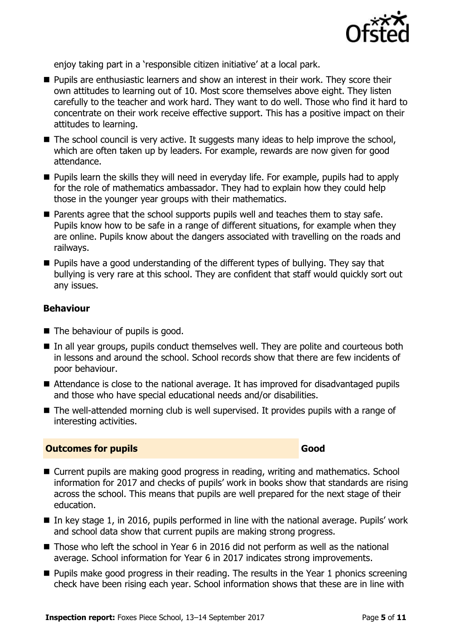

enjoy taking part in a 'responsible citizen initiative' at a local park.

- **Pupils are enthusiastic learners and show an interest in their work. They score their** own attitudes to learning out of 10. Most score themselves above eight. They listen carefully to the teacher and work hard. They want to do well. Those who find it hard to concentrate on their work receive effective support. This has a positive impact on their attitudes to learning.
- $\blacksquare$  The school council is very active. It suggests many ideas to help improve the school, which are often taken up by leaders. For example, rewards are now given for good attendance.
- **Pupils learn the skills they will need in everyday life. For example, pupils had to apply** for the role of mathematics ambassador. They had to explain how they could help those in the younger year groups with their mathematics.
- Parents agree that the school supports pupils well and teaches them to stay safe. Pupils know how to be safe in a range of different situations, for example when they are online. Pupils know about the dangers associated with travelling on the roads and railways.
- $\blacksquare$  Pupils have a good understanding of the different types of bullying. They say that bullying is very rare at this school. They are confident that staff would quickly sort out any issues.

#### **Behaviour**

- $\blacksquare$  The behaviour of pupils is good.
- In all year groups, pupils conduct themselves well. They are polite and courteous both in lessons and around the school. School records show that there are few incidents of poor behaviour.
- Attendance is close to the national average. It has improved for disadvantaged pupils and those who have special educational needs and/or disabilities.
- The well-attended morning club is well supervised. It provides pupils with a range of interesting activities.

#### **Outcomes for pupils Good Good**

- Current pupils are making good progress in reading, writing and mathematics. School information for 2017 and checks of pupils' work in books show that standards are rising across the school. This means that pupils are well prepared for the next stage of their education.
- In key stage 1, in 2016, pupils performed in line with the national average. Pupils' work and school data show that current pupils are making strong progress.
- Those who left the school in Year 6 in 2016 did not perform as well as the national average. School information for Year 6 in 2017 indicates strong improvements.
- **Pupils make good progress in their reading. The results in the Year 1 phonics screening** check have been rising each year. School information shows that these are in line with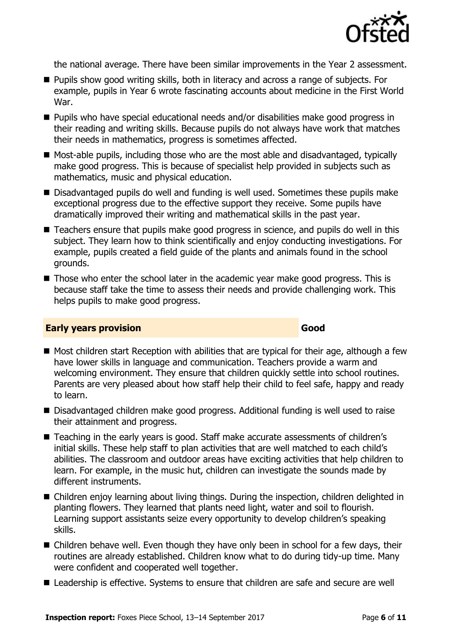

the national average. There have been similar improvements in the Year 2 assessment.

- Pupils show good writing skills, both in literacy and across a range of subjects. For example, pupils in Year 6 wrote fascinating accounts about medicine in the First World War.
- Pupils who have special educational needs and/or disabilities make good progress in their reading and writing skills. Because pupils do not always have work that matches their needs in mathematics, progress is sometimes affected.
- Most-able pupils, including those who are the most able and disadvantaged, typically make good progress. This is because of specialist help provided in subjects such as mathematics, music and physical education.
- Disadvantaged pupils do well and funding is well used. Sometimes these pupils make exceptional progress due to the effective support they receive. Some pupils have dramatically improved their writing and mathematical skills in the past year.
- Teachers ensure that pupils make good progress in science, and pupils do well in this subject. They learn how to think scientifically and enjoy conducting investigations. For example, pupils created a field guide of the plants and animals found in the school grounds.
- Those who enter the school later in the academic year make good progress. This is because staff take the time to assess their needs and provide challenging work. This helps pupils to make good progress.

#### **Early years provision Good Good**

- $\blacksquare$  Most children start Reception with abilities that are typical for their age, although a few have lower skills in language and communication. Teachers provide a warm and welcoming environment. They ensure that children quickly settle into school routines. Parents are very pleased about how staff help their child to feel safe, happy and ready to learn.
- Disadvantaged children make good progress. Additional funding is well used to raise their attainment and progress.
- Teaching in the early years is good. Staff make accurate assessments of children's initial skills. These help staff to plan activities that are well matched to each child's abilities. The classroom and outdoor areas have exciting activities that help children to learn. For example, in the music hut, children can investigate the sounds made by different instruments.
- Children enjoy learning about living things. During the inspection, children delighted in planting flowers. They learned that plants need light, water and soil to flourish. Learning support assistants seize every opportunity to develop children's speaking skills.
- Children behave well. Even though they have only been in school for a few days, their routines are already established. Children know what to do during tidy-up time. Many were confident and cooperated well together.
- Leadership is effective. Systems to ensure that children are safe and secure are well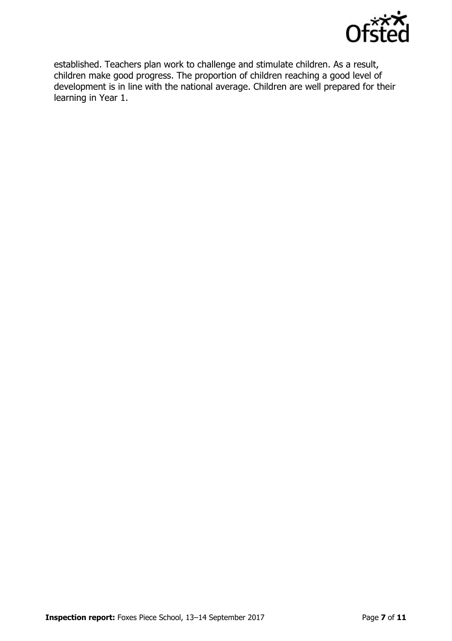

established. Teachers plan work to challenge and stimulate children. As a result, children make good progress. The proportion of children reaching a good level of development is in line with the national average. Children are well prepared for their learning in Year 1.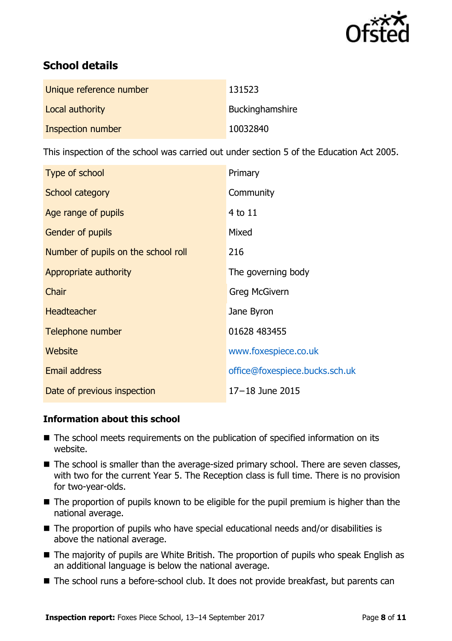

# **School details**

| Unique reference number | 131523                 |
|-------------------------|------------------------|
| Local authority         | <b>Buckinghamshire</b> |
| Inspection number       | 10032840               |

This inspection of the school was carried out under section 5 of the Education Act 2005.

| Type of school                      | Primary                        |
|-------------------------------------|--------------------------------|
| School category                     | Community                      |
| Age range of pupils                 | 4 to 11                        |
| <b>Gender of pupils</b>             | Mixed                          |
| Number of pupils on the school roll | 216                            |
| Appropriate authority               | The governing body             |
| Chair                               | <b>Greg McGivern</b>           |
| <b>Headteacher</b>                  | Jane Byron                     |
| Telephone number                    | 01628 483455                   |
| Website                             | www.foxespiece.co.uk           |
| Email address                       | office@foxespiece.bucks.sch.uk |
| Date of previous inspection         | $17 - 18$ June 2015            |

#### **Information about this school**

- The school meets requirements on the publication of specified information on its website.
- The school is smaller than the average-sized primary school. There are seven classes, with two for the current Year 5. The Reception class is full time. There is no provision for two-year-olds.
- $\blacksquare$  The proportion of pupils known to be eligible for the pupil premium is higher than the national average.
- The proportion of pupils who have special educational needs and/or disabilities is above the national average.
- The majority of pupils are White British. The proportion of pupils who speak English as an additional language is below the national average.
- The school runs a before-school club. It does not provide breakfast, but parents can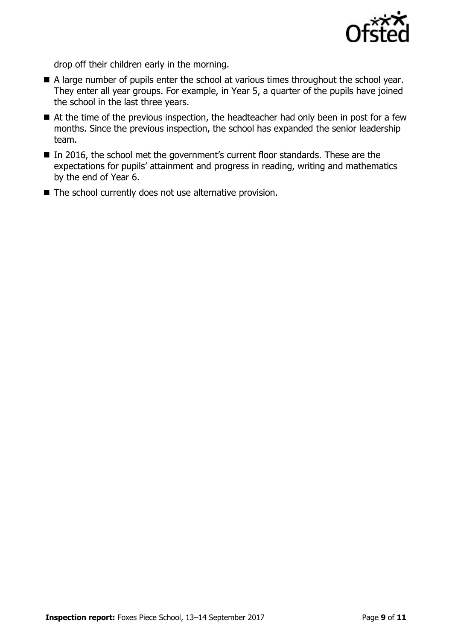

drop off their children early in the morning.

- A large number of pupils enter the school at various times throughout the school year. They enter all year groups. For example, in Year 5, a quarter of the pupils have joined the school in the last three years.
- At the time of the previous inspection, the headteacher had only been in post for a few months. Since the previous inspection, the school has expanded the senior leadership team.
- In 2016, the school met the government's current floor standards. These are the expectations for pupils' attainment and progress in reading, writing and mathematics by the end of Year 6.
- $\blacksquare$  The school currently does not use alternative provision.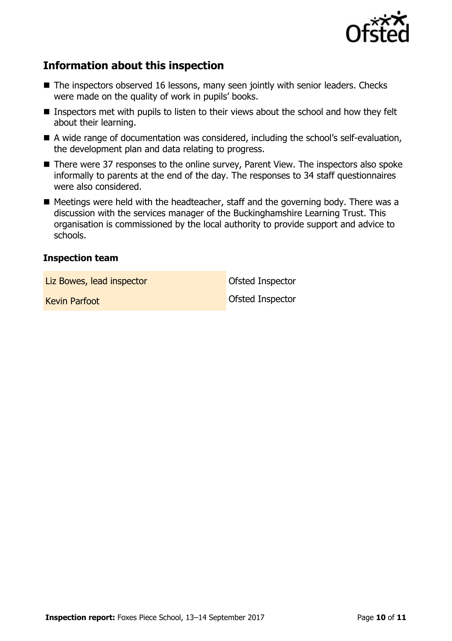

## **Information about this inspection**

- The inspectors observed 16 lessons, many seen jointly with senior leaders. Checks were made on the quality of work in pupils' books.
- Inspectors met with pupils to listen to their views about the school and how they felt about their learning.
- A wide range of documentation was considered, including the school's self-evaluation, the development plan and data relating to progress.
- There were 37 responses to the online survey, Parent View. The inspectors also spoke informally to parents at the end of the day. The responses to 34 staff questionnaires were also considered.
- $\blacksquare$  Meetings were held with the headteacher, staff and the governing body. There was a discussion with the services manager of the Buckinghamshire Learning Trust. This organisation is commissioned by the local authority to provide support and advice to schools.

#### **Inspection team**

Liz Bowes, lead inspector and offsted Inspector

**Kevin Parfoot** Construction Construction Construction Construction Construction Construction Construction Construction Construction Construction Construction Construction Construction Construction Construction Constructio